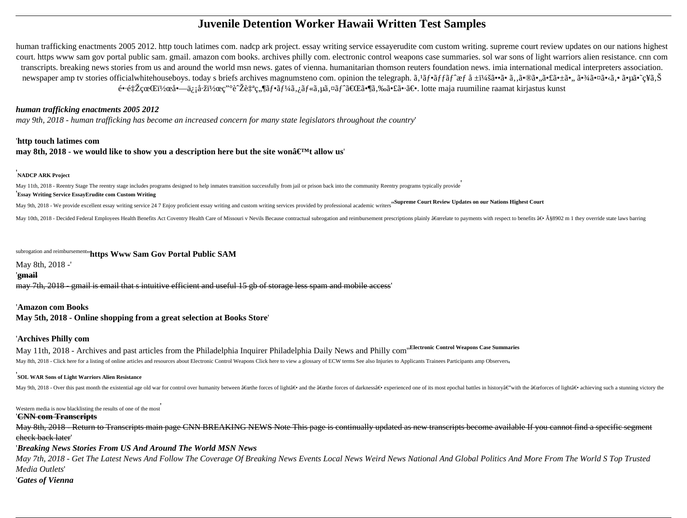# **Juvenile Detention Worker Hawaii Written Test Samples**

human trafficking enactments 2005 2012. http touch latimes com. nadcp ark project. essay writing service essayerudite com custom writing. supreme court review updates on our nations highest court. https www sam gov portal public sam. gmail. amazon com books. archives philly com. electronic control weapons case summaries. sol war sons of light warriors alien resistance. cnn com transcripts. breaking news stories from us and around the world msn news. gates of vienna. humanitarian thomson reuters foundation news. imia international medical interpreters association. newspaper amp tv stories officialwhitehouseboys. today s briefs archives magnumsteno com. opinion the telegraph.  $\tilde{a}$ ,  ${}^{1}\tilde{a}$ f• ${}^{0}\tilde{a}f$ f $\tilde{a}f^{\circ}$  ${}^{0}\tilde{a}f$   ${}^{0}\tilde{a}f^{\circ}$  ${}^{0}\tilde{a}$ ,  ${}^{0}\tilde{a}$ ,  ${}^{0}\$  $\mathbf{e} \cdot \mathbf{e}$ t $\mathbf{Z}$ c $\mathbf{e}$  Ei<sup>1</sup>/<sub>2</sub> $\mathbf{e} \mathbf{a} \cdot \mathbf{z}$  i a·ži<sup>1</sup>/2 $\mathbf{e} \mathbf{c}$ .  $\mathbf{e} \in \mathbf{Z}$  i a- $\mathbf{e} \in \mathbf{Z}$  i a- $\mathbf{e}$  a- $\mathbf{z}$  a- $\mathbf{z}$  a- $\mathbf{z}$  a- $\mathbf{z}$  a- $\mathbf{z}$  a- $\mathbf{z}$  a- $\mathbf{z}$ 

May 11th, 2018 - Reentry Stage The reentry stage includes programs designed to help inmates transition successfully from jail or prison back into the community Reentry programs typically provide '**Essay Writing Service EssayErudite com Custom Writing**

May 9th, 2018 - We provide excellent essay writing service 24 7 Enjoy proficient essay writing and custom writing services provided by professional academic writers "Supreme Court Review Updates on our Nations Highest Cour

May 10th, 2018 - Decided Federal Employees Health Benefits Act Coventry Health Care of Missouri v Nevils Because contractual subrogation and reimbursement prescriptions plainly â€cerelate to payments with respect to benef

# *human trafficking enactments 2005 2012*

*may 9th, 2018 - human trafficking has become an increased concern for many state legislators throughout the country*'

# '**http touch latimes com**

# **may 8th, 2018 - we would like to show you a description here but the site won** $\hat{a} \in T^M$ **t allow us'**

May 11th, 2018 - Archives and past articles from the Philadelphia Inquirer Philadelphia Daily News and Philly com''**Electronic Control Weapons Case Summaries** May 8th, 2018 - Click here for a listing of online articles and resources about Electronic Control Weapons Click here to view a glossary of ECW terms See also Injuries to Applicants Trainees Participants amp Observers,

# '**NADCP ARK Project**

subrogation and reimbursement''**https Www Sam Gov Portal Public SAM**

### May 8th, 2018 -'

# '**gmail**

may 7th, 2018 - gmail is email that s intuitive efficient and useful 15 gb of storage less spam and mobile access'

# '**Amazon com Books**

**May 5th, 2018 - Online shopping from a great selection at Books Store**'

# '**Archives Philly com**

# '**SOL WAR Sons of Light Warriors Alien Resistance**

May 9th, 2018 - Over this past month the existential age old war for control over humanity between "the forces of light― and the "the forces of darkness― experienced one of its most epochal battles in historyâ€"wi

Western media is now blacklisting the results of one of the most'

### '**CNN com Transcripts**

May 8th, 2018 - Return to Transcripts main page CNN BREAKING NEWS Note This page is continually updated as new transcripts become available If you cannot find a specific segment check back later'

'*Breaking News Stories From US And Around The World MSN News*

*May 7th, 2018 - Get The Latest News And Follow The Coverage Of Breaking News Events Local News Weird News National And Global Politics And More From The World S Top Trusted Media Outlets*' '*Gates of Vienna*